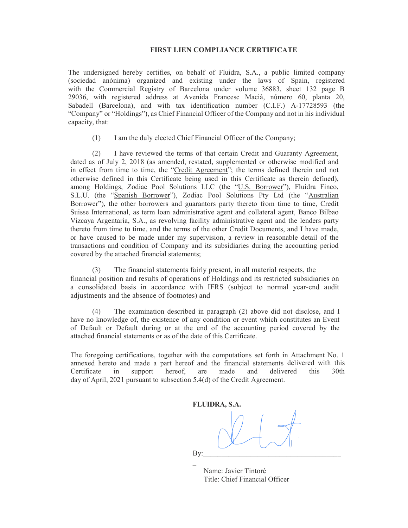## FIRST LIEN COMPLIANCE CERTIFICATE

The undersigned hereby certifies, on behalf of Fluidra, S.A., a public limited company (sociedad anónima) organized and existing under the laws of Spain, registered with the Commercial Registry of Barcelona under volume 36883, sheet 132 page B 29036, with registered address at Avenida Francesc Macià, número 60, planta 20, Sabadell (Barcelona), and with tax identification number (C.I.F.) A-17728593 (the "Company" or "Holdings"), as Chief Financial Officer of the Company and not in his individual capacity, that:

(1) I am the duly elected Chief Financial Officer of the Company;

(2) I have reviewed the terms of that certain Credit and Guaranty Agreement, dated as of July 2, 2018 (as amended, restated, supplemented or otherwise modified and in effect from time to time, the "Credit Agreement"; the terms defined therein and not otherwise defined in this Certificate being used in this Certificate as therein defined), among Holdings, Zodiac Pool Solutions LLC (the "U.S. Borrower"), Fluidra Finco, S.L.U. (the "Spanish Borrower"), Zodiac Pool Solutions Pty Ltd (the "Australian Borrower"), the other borrowers and guarantors party thereto from time to time, Credit Suisse International, as term loan administrative agent and collateral agent, Banco Bilbao Vizcaya Argentaria, S.A., as revolving facility administrative agent and the lenders party thereto from time to time, and the terms of the other Credit Documents, and I have made, or have caused to be made under my supervision, a review in reasonable detail of the transactions and condition of Company and its subsidiaries during the accounting period covered by the attached financial statements;

(3) The financial statements fairly present, in all material respects, the financial position and results of operations of Holdings and its restricted subsidiaries on a consolidated basis in accordance with IFRS (subject to normal year-end audit adjustments and the absence of footnotes) and

(4) The examination described in paragraph (2) above did not disclose, and I have no knowledge of, the existence of any condition or event which constitutes an Event of Default or Default during or at the end of the accounting period covered by the attached financial statements or as of the date of this Certificate.

The foregoing certifications, together with the computations set forth in Attachment No. 1 annexed hereto and made a part hereof and the financial statements delivered with this Certificate in support hereof, are made and delivered this 30th day of April, 2021 pursuant to subsection 5.4(d) of the Credit Agreement.

 $\mathcal{L}(\mathcal{L})$ 

FLUIDRA, S.A.  $\mathbf{By:}$ 

 Name: Javier Tintoré Title: Chief Financial Officer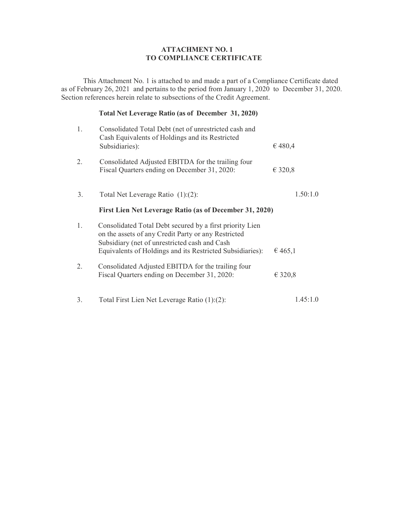## ATTACHMENT NO. 1 TO COMPLIANCE CERTIFICATE

This Attachment No. 1 is attached to and made a part of a Compliance Certificate dated as of February 26, 2021 and pertains to the period from January 1, 2020 to December 31, 2020. Section references herein relate to subsections of the Credit Agreement.

## Total Net Leverage Ratio (as of December 31, 2020)

| 1. | Consolidated Total Debt (net of unrestricted cash and<br>Cash Equivalents of Holdings and its Restricted<br>Subsidiaries):                                                                                                    | € 480,4  |
|----|-------------------------------------------------------------------------------------------------------------------------------------------------------------------------------------------------------------------------------|----------|
| 2. | Consolidated Adjusted EBITDA for the trailing four<br>Fiscal Quarters ending on December 31, 2020:                                                                                                                            | € 320,8  |
| 3. | Total Net Leverage Ratio $(1):(2)$ :                                                                                                                                                                                          | 1.50:1.0 |
|    | First Lien Net Leverage Ratio (as of December 31, 2020)                                                                                                                                                                       |          |
| 1. | Consolidated Total Debt secured by a first priority Lien<br>on the assets of any Credit Party or any Restricted<br>Subsidiary (net of unrestricted cash and Cash<br>Equivalents of Holdings and its Restricted Subsidiaries): | € 465,1  |
| 2. | Consolidated Adjusted EBITDA for the trailing four<br>Fiscal Quarters ending on December 31, 2020:                                                                                                                            | € 320,8  |
| 3. | Total First Lien Net Leverage Ratio (1):(2):                                                                                                                                                                                  | 1.45:1.0 |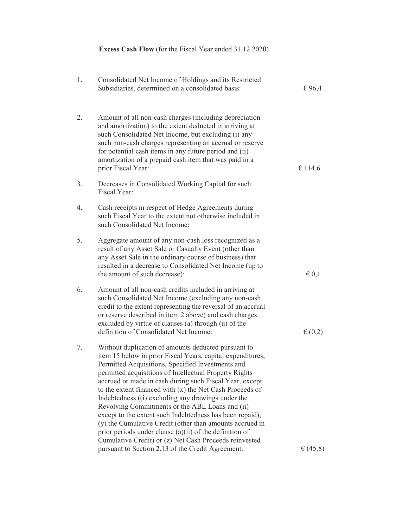| 1. | Consolidated Net Income of Holdings and its Restricted<br>Subsidiaries, determined on a consolidated basis:                                                                                                                                                                                                                                                                                                                                                                                                                                                                                                                                                                                                                                                        | € 96,4       |
|----|--------------------------------------------------------------------------------------------------------------------------------------------------------------------------------------------------------------------------------------------------------------------------------------------------------------------------------------------------------------------------------------------------------------------------------------------------------------------------------------------------------------------------------------------------------------------------------------------------------------------------------------------------------------------------------------------------------------------------------------------------------------------|--------------|
| 2. | Amount of all non-cash charges (including depreciation<br>and amortization) to the extent deducted in arriving at<br>such Consolidated Net Income, but excluding (i) any<br>such non-cash charges representing an accrual or reserve<br>for potential cash items in any future period and (ii)<br>amortization of a prepaid cash item that was paid in a<br>prior Fiscal Year:                                                                                                                                                                                                                                                                                                                                                                                     | € 114,6      |
| 3. | Decreases in Consolidated Working Capital for such<br>Fiscal Year:                                                                                                                                                                                                                                                                                                                                                                                                                                                                                                                                                                                                                                                                                                 |              |
| 4. | Cash receipts in respect of Hedge Agreements during<br>such Fiscal Year to the extent not otherwise included in<br>such Consolidated Net Income:                                                                                                                                                                                                                                                                                                                                                                                                                                                                                                                                                                                                                   |              |
| 5. | Aggregate amount of any non-cash loss recognized as a<br>result of any Asset Sale or Casualty Event (other than<br>any Asset Sale in the ordinary course of business) that<br>resulted in a decrease to Consolidated Net Income (up to<br>the amount of such decrease):                                                                                                                                                                                                                                                                                                                                                                                                                                                                                            | $\in 0,1$    |
| 6. | Amount of all non-cash credits included in arriving at<br>such Consolidated Net Income (excluding any non-cash<br>credit to the extent representing the reversal of an accrual<br>or reserve described in item 2 above) and cash charges<br>excluded by virtue of clauses (a) through (u) of the<br>definition of Consolidated Net Income:                                                                                                                                                                                                                                                                                                                                                                                                                         | $\in (0,2)$  |
| 7. | Without duplication of amounts deducted pursuant to<br>item 15 below in prior Fiscal Years, capital expenditures,<br>Permitted Acquisitions, Specified Investments and<br>permitted acquisitions of Intellectual Property Rights<br>accrued or made in cash during such Fiscal Year, except<br>to the extent financed with (x) the Net Cash Proceeds of<br>Indebtedness ((i) excluding any drawings under the<br>Revolving Commitments or the ABL Loans and (ii)<br>except to the extent such Indebtedness has been repaid),<br>(y) the Cumulative Credit (other than amounts accrued in<br>prior periods under clause (a)(ii) of the definition of<br>Cumulative Credit) or (z) Net Cash Proceeds reinvested<br>pursuant to Section 2.13 of the Credit Agreement: | $\in (45,8)$ |

Excess Cash Flow (for the Fiscal Year ended 31.12.2020)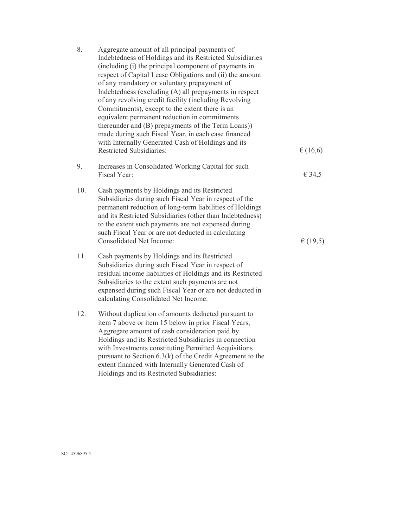| 8.  | Aggregate amount of all principal payments of<br>Indebtedness of Holdings and its Restricted Subsidiaries<br>(including (i) the principal component of payments in<br>respect of Capital Lease Obligations and (ii) the amount<br>of any mandatory or voluntary prepayment of<br>Indebtedness (excluding (A) all prepayments in respect<br>of any revolving credit facility (including Revolving<br>Commitments), except to the extent there is an<br>equivalent permanent reduction in commitments<br>thereunder and (B) prepayments of the Term Loans))<br>made during such Fiscal Year, in each case financed<br>with Internally Generated Cash of Holdings and its<br><b>Restricted Subsidiaries:</b> | $\in (16,6)$ |
|-----|-----------------------------------------------------------------------------------------------------------------------------------------------------------------------------------------------------------------------------------------------------------------------------------------------------------------------------------------------------------------------------------------------------------------------------------------------------------------------------------------------------------------------------------------------------------------------------------------------------------------------------------------------------------------------------------------------------------|--------------|
| 9.  | Increases in Consolidated Working Capital for such<br>Fiscal Year:                                                                                                                                                                                                                                                                                                                                                                                                                                                                                                                                                                                                                                        | € 34,5       |
| 10. | Cash payments by Holdings and its Restricted<br>Subsidiaries during such Fiscal Year in respect of the<br>permanent reduction of long-term liabilities of Holdings<br>and its Restricted Subsidiaries (other than Indebtedness)<br>to the extent such payments are not expensed during<br>such Fiscal Year or are not deducted in calculating<br><b>Consolidated Net Income:</b>                                                                                                                                                                                                                                                                                                                          | $\in (19,5)$ |
| 11. | Cash payments by Holdings and its Restricted<br>Subsidiaries during such Fiscal Year in respect of<br>residual income liabilities of Holdings and its Restricted<br>Subsidiaries to the extent such payments are not<br>expensed during such Fiscal Year or are not deducted in<br>calculating Consolidated Net Income:                                                                                                                                                                                                                                                                                                                                                                                   |              |
| 12. | Without duplication of amounts deducted pursuant to<br>item 7 above or item 15 below in prior Fiscal Years,<br>Aggregate amount of cash consideration paid by<br>Holdings and its Restricted Subsidiaries in connection<br>with Investments constituting Permitted Acquisitions<br>pursuant to Section 6.3(k) of the Credit Agreement to the<br>extent financed with Internally Generated Cash of<br>Holdings and its Restricted Subsidiaries:                                                                                                                                                                                                                                                            |              |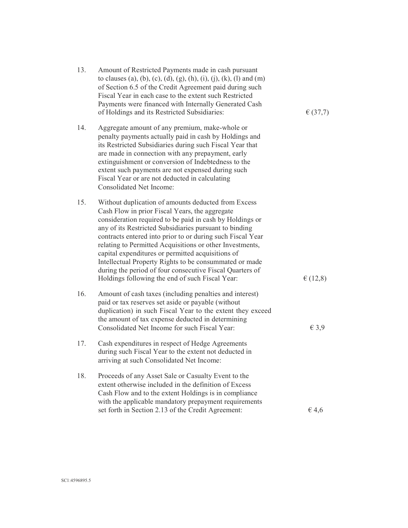| 13. | Amount of Restricted Payments made in cash pursuant<br>to clauses (a), (b), (c), (d), (g), (h), (i), (j), (k), (l) and (m)<br>of Section 6.5 of the Credit Agreement paid during such<br>Fiscal Year in each case to the extent such Restricted<br>Payments were financed with Internally Generated Cash<br>of Holdings and its Restricted Subsidiaries:                                                                                                                                                                                                                            | E(37,7)       |
|-----|-------------------------------------------------------------------------------------------------------------------------------------------------------------------------------------------------------------------------------------------------------------------------------------------------------------------------------------------------------------------------------------------------------------------------------------------------------------------------------------------------------------------------------------------------------------------------------------|---------------|
| 14. | Aggregate amount of any premium, make-whole or<br>penalty payments actually paid in cash by Holdings and<br>its Restricted Subsidiaries during such Fiscal Year that<br>are made in connection with any prepayment, early<br>extinguishment or conversion of Indebtedness to the<br>extent such payments are not expensed during such<br>Fiscal Year or are not deducted in calculating<br><b>Consolidated Net Income:</b>                                                                                                                                                          |               |
| 15. | Without duplication of amounts deducted from Excess<br>Cash Flow in prior Fiscal Years, the aggregate<br>consideration required to be paid in cash by Holdings or<br>any of its Restricted Subsidiaries pursuant to binding<br>contracts entered into prior to or during such Fiscal Year<br>relating to Permitted Acquisitions or other Investments,<br>capital expenditures or permitted acquisitions of<br>Intellectual Property Rights to be consummated or made<br>during the period of four consecutive Fiscal Quarters of<br>Holdings following the end of such Fiscal Year: | $\in (12, 8)$ |
| 16. | Amount of cash taxes (including penalties and interest)<br>paid or tax reserves set aside or payable (without<br>duplication) in such Fiscal Year to the extent they exceed<br>the amount of tax expense deducted in determining<br>Consolidated Net Income for such Fiscal Year:                                                                                                                                                                                                                                                                                                   | $\in$ 3,9     |
| 17. | Cash expenditures in respect of Hedge Agreements<br>during such Fiscal Year to the extent not deducted in<br>arriving at such Consolidated Net Income:                                                                                                                                                                                                                                                                                                                                                                                                                              |               |
| 18. | Proceeds of any Asset Sale or Casualty Event to the<br>extent otherwise included in the definition of Excess<br>Cash Flow and to the extent Holdings is in compliance<br>with the applicable mandatory prepayment requirements<br>set forth in Section 2.13 of the Credit Agreement:                                                                                                                                                                                                                                                                                                | 64,6          |